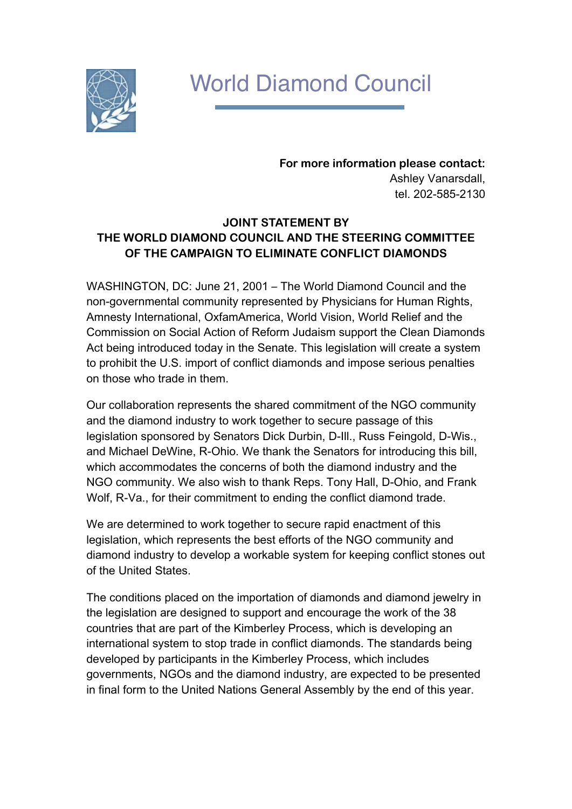## World Diamond Council

**For more information please contact:** Ashley Vanarsdall, tel. 202-585-2130

## **JOINT STATEMENT BY THE WORLD DIAMOND COUNCIL AND THE STEERING COMMITTEE OF THE CAMPAIGN TO ELIMINATE CONFLICT DIAMONDS**

WASHINGTON, DC: June 21, 2001 – The World Diamond Council and the non-governmental community represented by Physicians for Human Rights, Amnesty International, OxfamAmerica, World Vision, World Relief and the Commission on Social Action of Reform Judaism support the Clean Diamonds Act being introduced today in the Senate. This legislation will create a system to prohibit the U.S. import of conflict diamonds and impose serious penalties on those who trade in them.

Our collaboration represents the shared commitment of the NGO community and the diamond industry to work together to secure passage of this legislation sponsored by Senators Dick Durbin, D-Ill., Russ Feingold, D-Wis., and Michael DeWine, R-Ohio. We thank the Senators for introducing this bill, which accommodates the concerns of both the diamond industry and the NGO community. We also wish to thank Reps. Tony Hall, D-Ohio, and Frank Wolf, R-Va., for their commitment to ending the conflict diamond trade.

We are determined to work together to secure rapid enactment of this legislation, which represents the best efforts of the NGO community and diamond industry to develop a workable system for keeping conflict stones out of the United States.

The conditions placed on the importation of diamonds and diamond jewelry in the legislation are designed to support and encourage the work of the 38 countries that are part of the Kimberley Process, which is developing an international system to stop trade in conflict diamonds. The standards being developed by participants in the Kimberley Process, which includes governments, NGOs and the diamond industry, are expected to be presented in final form to the United Nations General Assembly by the end of this year.